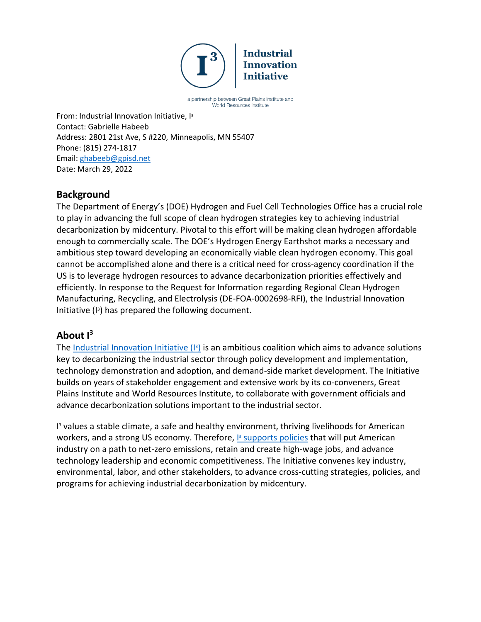

a partnership between Great Plains Institute and World Resources Institute

From: Industrial Innovation Initiative, I3 Contact: Gabrielle Habeeb Address: 2801 21st Ave, S #220, Minneapolis, MN 55407 Phone: (815) 274-1817 Email: [ghabeeb@gpisd.net](mailto:ghabeeb@gpisd.net) Date: March 29, 2022

# **Background**

The Department of Energy's (DOE) Hydrogen and Fuel Cell Technologies Office has a crucial role to play in advancing the full scope of clean hydrogen strategies key to achieving industrial decarbonization by midcentury. Pivotal to this effort will be making clean hydrogen affordable enough to commercially scale. The DOE's Hydrogen Energy Earthshot marks a necessary and ambitious step toward developing an economically viable clean hydrogen economy. This goal cannot be accomplished alone and there is a critical need for cross-agency coordination if the US is to leverage hydrogen resources to advance decarbonization priorities effectively and efficiently. In response to the Request for Information regarding Regional Clean Hydrogen Manufacturing, Recycling, and Electrolysis (DE-FOA-0002698-RFI), the Industrial Innovation Initiative (I3 ) has prepared the following document.

# **About I3**

The **Industrial Innovation Initiative (B**) is an ambitious coalition which aims to advance solutions key to decarbonizing the industrial sector through policy development and implementation, technology demonstration and adoption, and demand-side market development. The Initiative builds on years of stakeholder engagement and extensive work by its co-conveners, Great Plains Institute and World Resources Institute, to collaborate with government officials and advance decarbonization solutions important to the industrial sector.

I <sup>3</sup> values a stable climate, a safe and healthy environment, thriving livelihoods for American workers, and a strong US economy. Therefore, **B** [supports policies](http://www.industrialinnovation.org/blueprint) that will put American industry on a path to net-zero emissions, retain and create high-wage jobs, and advance technology leadership and economic competitiveness. The Initiative convenes key industry, environmental, labor, and other stakeholders, to advance cross-cutting strategies, policies, and programs for achieving industrial decarbonization by midcentury.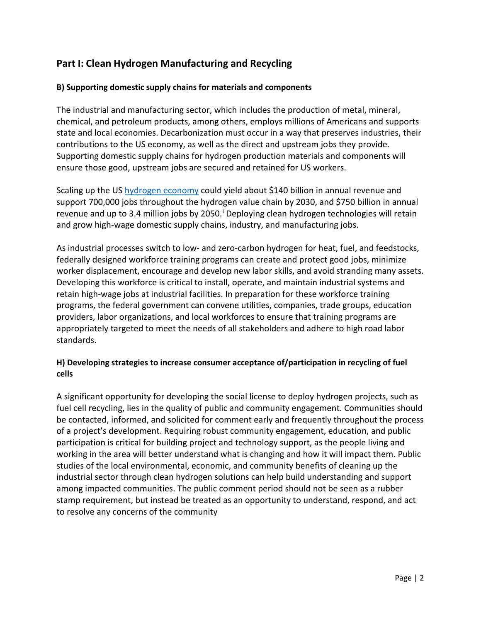# **Part I: Clean Hydrogen Manufacturing and Recycling**

### **B) Supporting domestic supply chains for materials and components**

The industrial and manufacturing sector, which includes the production of metal, mineral, chemical, and petroleum products, among others, employs millions of Americans and supports state and local economies. Decarbonization must occur in a way that preserves industries, their contributions to the US economy, as well as the direct and upstream jobs they provide. Supporting domestic supply chains for hydrogen production materials and components will ensure those good, upstream jobs are secured and retained for US workers.

Scaling up the US hydrogen economy could yield about \$140 billion in annual revenue and support 700,000 jobs throughout the hydrogen value chain by 2030, and \$750 billion in annual revenue and up to 3.4 m[i](#page-5-0)llion jobs by 2050. Deploying clean hydrogen technologies will retain and grow high-wage domestic supply chains, industry, and manufacturing jobs.

As industrial processes switch to low- and zero-carbon hydrogen for heat, fuel, and feedstocks, federally designed workforce training programs can create and protect good jobs, minimize worker displacement, encourage and develop new labor skills, and avoid stranding many assets. Developing this workforce is critical to install, operate, and maintain industrial systems and retain high-wage jobs at industrial facilities. In preparation for these workforce training programs, the federal government can convene utilities, companies, trade groups, education providers, labor organizations, and local workforces to ensure that training programs are appropriately targeted to meet the needs of all stakeholders and adhere to high road labor standards.

### **H) Developing strategies to increase consumer acceptance of/participation in recycling of fuel cells**

A significant opportunity for developing the social license to deploy hydrogen projects, such as fuel cell recycling, lies in the quality of public and community engagement. Communities should be contacted, informed, and solicited for comment early and frequently throughout the process of a project's development. Requiring robust community engagement, education, and public participation is critical for building project and technology support, as the people living and working in the area will better understand what is changing and how it will impact them. Public studies of the local environmental, economic, and community benefits of cleaning up the industrial sector through clean hydrogen solutions can help build understanding and support among impacted communities. The public comment period should not be seen as a rubber stamp requirement, but instead be treated as an opportunity to understand, respond, and act to resolve any concerns of the community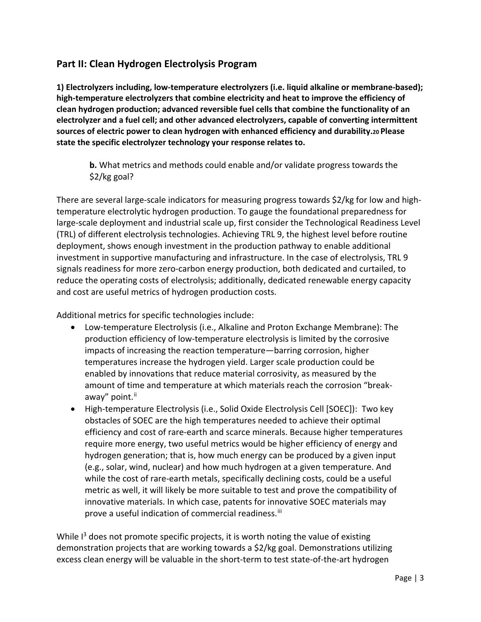### **Part II: Clean Hydrogen Electrolysis Program**

**1) Electrolyzers including, low-temperature electrolyzers (i.e. liquid alkaline or membrane-based); high-temperature electrolyzers that combine electricity and heat to improve the efficiency of clean hydrogen production; advanced reversible fuel cells that combine the functionality of an electrolyzer and a fuel cell; and other advanced electrolyzers, capable of converting intermittent sources of electric power to clean hydrogen with enhanced efficiency and durability.20 Please state the specific electrolyzer technology your response relates to.** 

**b.** What metrics and methods could enable and/or validate progress towards the \$2/kg goal?

There are several large-scale indicators for measuring progress towards \$2/kg for low and hightemperature electrolytic hydrogen production. To gauge the foundational preparedness for large-scale deployment and industrial scale up, first consider the Technological Readiness Level (TRL) of different electrolysis technologies. Achieving TRL 9, the highest level before routine deployment, shows enough investment in the production pathway to enable additional investment in supportive manufacturing and infrastructure. In the case of electrolysis, TRL 9 signals readiness for more zero-carbon energy production, both dedicated and curtailed, to reduce the operating costs of electrolysis; additionally, dedicated renewable energy capacity and cost are useful metrics of hydrogen production costs.

Additional metrics for specific technologies include:

- Low-temperature Electrolysis (i.e., Alkaline and Proton Exchange Membrane): The production efficiency of low-temperature electrolysis is limited by the corrosive impacts of increasing the reaction temperature—barring corrosion, higher temperatures increase the hydrogen yield. Larger scale production could be enabled by innovations that reduce material corrosivity, as measured by the amount of time and temperature at which materials reach the corrosion "breakaway" point.<sup>[ii](#page-5-1)</sup>
- High-temperature Electrolysis (i.e., Solid Oxide Electrolysis Cell [SOEC]): Two key obstacles of SOEC are the high temperatures needed to achieve their optimal efficiency and cost of rare-earth and scarce minerals. Because higher temperatures require more energy, two useful metrics would be higher efficiency of energy and hydrogen generation; that is, how much energy can be produced by a given input (e.g., solar, wind, nuclear) and how much hydrogen at a given temperature. And while the cost of rare-earth metals, specifically declining costs, could be a useful metric as well, it will likely be more suitable to test and prove the compatibility of innovative materials. In which case, patents for innovative SOEC materials may prove a useful indication of commercial readiness.<sup>[iii](#page-5-2)</sup>

While  $I<sup>3</sup>$  does not promote specific projects, it is worth noting the value of existing demonstration projects that are working towards a \$2/kg goal. Demonstrations utilizing excess clean energy will be valuable in the short-term to test state-of-the-art hydrogen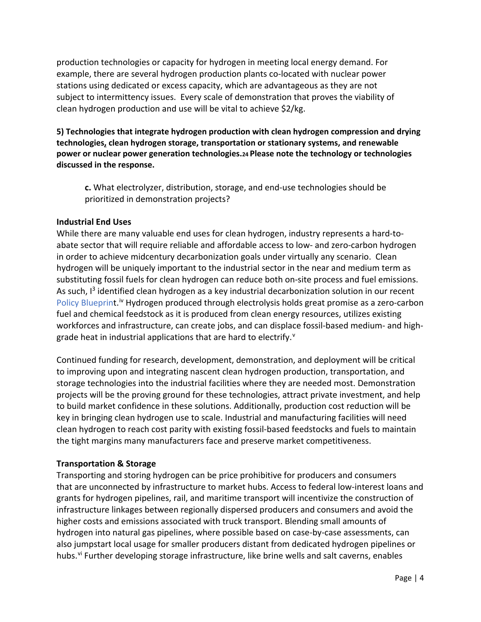production technologies or capacity for hydrogen in meeting local energy demand. For example, there are several hydrogen production plants co-located with nuclear power stations using dedicated or excess capacity, which are advantageous as they are not subject to intermittency issues. Every scale of demonstration that proves the viability of clean hydrogen production and use will be vital to achieve \$2/kg.

**5) Technologies that integrate hydrogen production with clean hydrogen compression and drying technologies, clean hydrogen storage, transportation or stationary systems, and renewable power or nuclear power generation technologies.24 Please note the technology or technologies discussed in the response.** 

**c.** What electrolyzer, distribution, storage, and end-use technologies should be prioritized in demonstration projects?

### **Industrial End Uses**

While there are many valuable end uses for clean hydrogen, industry represents a hard-toabate sector that will require reliable and affordable access to low- and zero-carbon hydrogen in order to achieve midcentury decarbonization goals under virtually any scenario. Clean hydrogen will be uniquely important to the industrial sector in the near and medium term as substituting fossil fuels for clean hydrogen can reduce both on-site process and fuel emissions. As such,  $I<sup>3</sup>$  identified clean hydrogen as a key industrial decarbonization solution in our recent [Policy Blueprint.](http://www.industrialinnovation.org/blueprint)<sup>[iv](#page-5-3)</sup> Hydrogen produced through electrolysis holds great promise as a zero-carbon fuel and chemical feedstock as it is produced from clean energy resources, utilizes existing workforces and infrastructure, can create jobs, and can displace fossil-based medium- and highgrade heat in industrial applications that are hard to electrify.<sup>[v](#page-6-0)</sup>

Continued funding for research, development, demonstration, and deployment will be critical to improving upon and integrating nascent clean hydrogen production, transportation, and storage technologies into the industrial facilities where they are needed most. Demonstration projects will be the proving ground for these technologies, attract private investment, and help to build market confidence in these solutions. Additionally, production cost reduction will be key in bringing clean hydrogen use to scale. Industrial and manufacturing facilities will need clean hydrogen to reach cost parity with existing fossil-based feedstocks and fuels to maintain the tight margins many manufacturers face and preserve market competitiveness.

#### **Transportation & Storage**

Transporting and storing hydrogen can be price prohibitive for producers and consumers that are unconnected by infrastructure to market hubs. Access to federal low-interest loans and grants for hydrogen pipelines, rail, and maritime transport will incentivize the construction of infrastructure linkages between regionally dispersed producers and consumers and avoid the higher costs and emissions associated with truck transport. Blending small amounts of hydrogen into natural gas pipelines, where possible based on case-by-case assessments, can also jumpstart local usage for smaller producers distant from dedicated hydrogen pipelines or hubs.<sup>[vi](#page-6-1)</sup> Further developing storage infrastructure, like brine wells and salt caverns, enables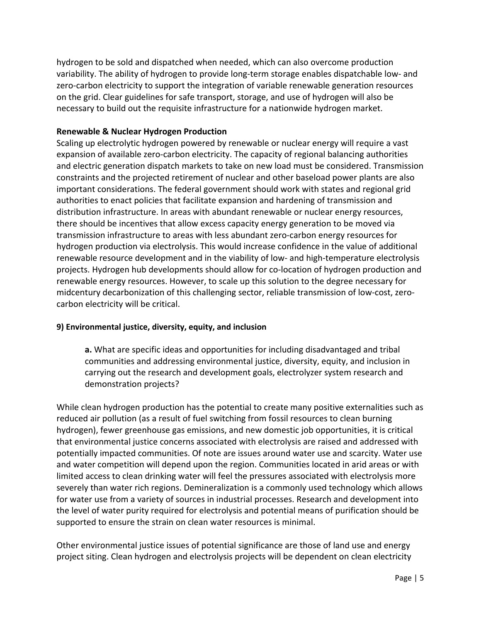hydrogen to be sold and dispatched when needed, which can also overcome production variability. The ability of hydrogen to provide long-term storage enables dispatchable low- and zero-carbon electricity to support the integration of variable renewable generation resources on the grid. Clear guidelines for safe transport, storage, and use of hydrogen will also be necessary to build out the requisite infrastructure for a nationwide hydrogen market.

### **Renewable & Nuclear Hydrogen Production**

Scaling up electrolytic hydrogen powered by renewable or nuclear energy will require a vast expansion of available zero-carbon electricity. The capacity of regional balancing authorities and electric generation dispatch markets to take on new load must be considered. Transmission constraints and the projected retirement of nuclear and other baseload power plants are also important considerations. The federal government should work with states and regional grid authorities to enact policies that facilitate expansion and hardening of transmission and distribution infrastructure. In areas with abundant renewable or nuclear energy resources, there should be incentives that allow excess capacity energy generation to be moved via transmission infrastructure to areas with less abundant zero-carbon energy resources for hydrogen production via electrolysis. This would increase confidence in the value of additional renewable resource development and in the viability of low- and high-temperature electrolysis projects. Hydrogen hub developments should allow for co-location of hydrogen production and renewable energy resources. However, to scale up this solution to the degree necessary for midcentury decarbonization of this challenging sector, reliable transmission of low-cost, zerocarbon electricity will be critical.

### **9) Environmental justice, diversity, equity, and inclusion**

**a.** What are specific ideas and opportunities for including disadvantaged and tribal communities and addressing environmental justice, diversity, equity, and inclusion in carrying out the research and development goals, electrolyzer system research and demonstration projects?

While clean hydrogen production has the potential to create many positive externalities such as reduced air pollution (as a result of fuel switching from fossil resources to clean burning hydrogen), fewer greenhouse gas emissions, and new domestic job opportunities, it is critical that environmental justice concerns associated with electrolysis are raised and addressed with potentially impacted communities. Of note are issues around water use and scarcity. Water use and water competition will depend upon the region. Communities located in arid areas or with limited access to clean drinking water will feel the pressures associated with electrolysis more severely than water rich regions. Demineralization is a commonly used technology which allows for water use from a variety of sources in industrial processes. Research and development into the level of water purity required for electrolysis and potential means of purification should be supported to ensure the strain on clean water resources is minimal.

Other environmental justice issues of potential significance are those of land use and energy project siting. Clean hydrogen and electrolysis projects will be dependent on clean electricity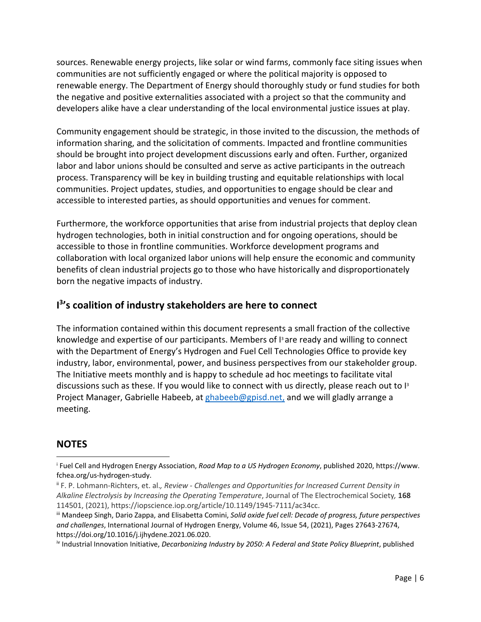sources. Renewable energy projects, like solar or wind farms, commonly face siting issues when communities are not sufficiently engaged or where the political majority is opposed to renewable energy. The Department of Energy should thoroughly study or fund studies for both the negative and positive externalities associated with a project so that the community and developers alike have a clear understanding of the local environmental justice issues at play.

Community engagement should be strategic, in those invited to the discussion, the methods of information sharing, and the solicitation of comments. Impacted and frontline communities should be brought into project development discussions early and often. Further, organized labor and labor unions should be consulted and serve as active participants in the outreach process. Transparency will be key in building trusting and equitable relationships with local communities. Project updates, studies, and opportunities to engage should be clear and accessible to interested parties, as should opportunities and venues for comment.

Furthermore, the workforce opportunities that arise from industrial projects that deploy clean hydrogen technologies, both in initial construction and for ongoing operations, should be accessible to those in frontline communities. Workforce development programs and collaboration with local organized labor unions will help ensure the economic and community benefits of clean industrial projects go to those who have historically and disproportionately born the negative impacts of industry.

# **I 3 's coalition of industry stakeholders are here to connect**

The information contained within this document represents a small fraction of the collective knowledge and expertise of our participants. Members of  $I<sup>3</sup>$  are ready and willing to connect with the Department of Energy's Hydrogen and Fuel Cell Technologies Office to provide key industry, labor, environmental, power, and business perspectives from our stakeholder group. The Initiative meets monthly and is happy to schedule ad hoc meetings to facilitate vital discussions such as these. If you would like to connect with us directly, please reach out to  $I<sup>3</sup>$ Project Manager, Gabrielle Habeeb, at [ghabeeb@gpisd.net,](mailto:ghabeeb@gpisd.net) and we will gladly arrange a meeting.

### **NOTES**

<span id="page-5-0"></span><sup>i</sup> Fuel Cell and Hydrogen Energy Association, *Road Map to a US Hydrogen Economy*, published 2020, https://www. fchea.org/us-hydrogen-study.

<span id="page-5-1"></span>ii F. P. Lohmann-Richters, et. al.*, Review - Challenges and Opportunities for Increased Current Density in Alkaline Electrolysis by Increasing the Operating Temperature*, Journal of The Electrochemical Society*,* **168** 114501, (2021), https://iopscience.iop.org/article/10.1149/1945-7111/ac34cc.

<span id="page-5-2"></span>iii Mandeep Singh, Dario Zappa, and Elisabetta Comini, *Solid oxide fuel cell: Decade of progress, future perspectives and challenges*, International Journal of Hydrogen Energy, Volume 46, Issue 54, (2021), Pages 27643-27674, https://doi.org/10.1016/j.ijhydene.2021.06.020.

<span id="page-5-3"></span>iv Industrial Innovation Initiative, *Decarbonizing Industry by 2050: A Federal and State Policy Blueprint*, published